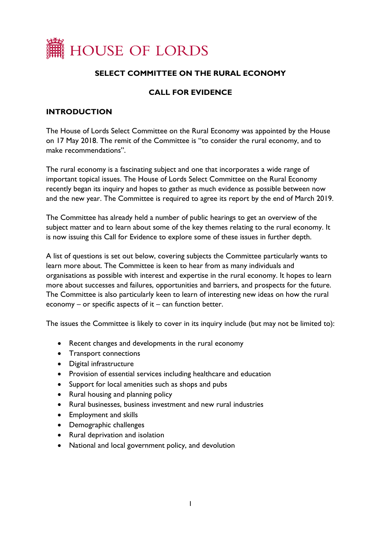

## **SELECT COMMITTEE ON THE RURAL ECONOMY**

### **CALL FOR EVIDENCE**

#### **INTRODUCTION**

The House of Lords Select Committee on the Rural Economy was appointed by the House on 17 May 2018. The remit of the Committee is "to consider the rural economy, and to make recommendations".

The rural economy is a fascinating subject and one that incorporates a wide range of important topical issues. The House of Lords Select Committee on the Rural Economy recently began its inquiry and hopes to gather as much evidence as possible between now and the new year. The Committee is required to agree its report by the end of March 2019.

The Committee has already held a number of public hearings to get an overview of the subject matter and to learn about some of the key themes relating to the rural economy. It is now issuing this Call for Evidence to explore some of these issues in further depth.

A list of questions is set out below, covering subjects the Committee particularly wants to learn more about. The Committee is keen to hear from as many individuals and organisations as possible with interest and expertise in the rural economy. It hopes to learn more about successes and failures, opportunities and barriers, and prospects for the future. The Committee is also particularly keen to learn of interesting new ideas on how the rural economy – or specific aspects of it – can function better.

The issues the Committee is likely to cover in its inquiry include (but may not be limited to):

- Recent changes and developments in the rural economy
- Transport connections
- Digital infrastructure
- Provision of essential services including healthcare and education
- Support for local amenities such as shops and pubs
- Rural housing and planning policy
- Rural businesses, business investment and new rural industries
- Employment and skills
- Demographic challenges
- Rural deprivation and isolation
- National and local government policy, and devolution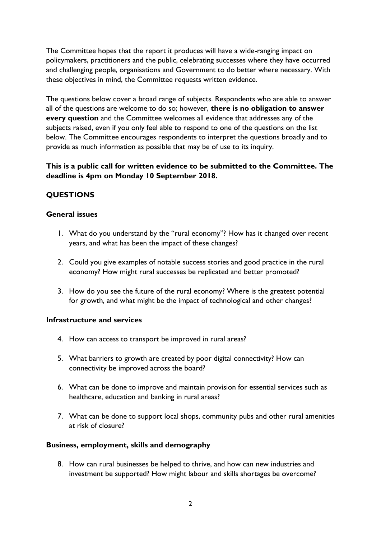The Committee hopes that the report it produces will have a wide-ranging impact on policymakers, practitioners and the public, celebrating successes where they have occurred and challenging people, organisations and Government to do better where necessary. With these objectives in mind, the Committee requests written evidence.

The questions below cover a broad range of subjects. Respondents who are able to answer all of the questions are welcome to do so; however, **there is no obligation to answer every question** and the Committee welcomes all evidence that addresses any of the subjects raised, even if you only feel able to respond to one of the questions on the list below. The Committee encourages respondents to interpret the questions broadly and to provide as much information as possible that may be of use to its inquiry.

**This is a public call for written evidence to be submitted to the Committee. The deadline is 4pm on Monday 10 September 2018.**

# **QUESTIONS**

### **General issues**

- 1. What do you understand by the "rural economy"? How has it changed over recent years, and what has been the impact of these changes?
- 2. Could you give examples of notable success stories and good practice in the rural economy? How might rural successes be replicated and better promoted?
- 3. How do you see the future of the rural economy? Where is the greatest potential for growth, and what might be the impact of technological and other changes?

### **Infrastructure and services**

- 4. How can access to transport be improved in rural areas?
- 5. What barriers to growth are created by poor digital connectivity? How can connectivity be improved across the board?
- 6. What can be done to improve and maintain provision for essential services such as healthcare, education and banking in rural areas?
- 7. What can be done to support local shops, community pubs and other rural amenities at risk of closure?

### **Business, employment, skills and demography**

8. How can rural businesses be helped to thrive, and how can new industries and investment be supported? How might labour and skills shortages be overcome?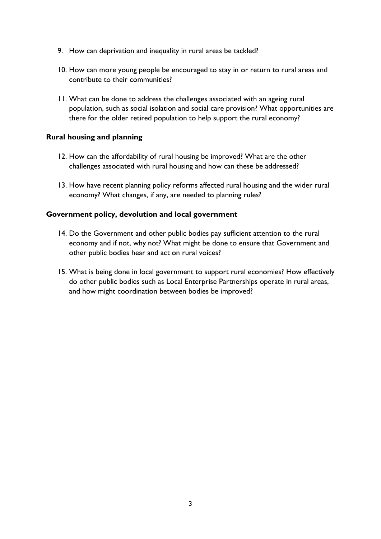- 9. How can deprivation and inequality in rural areas be tackled?
- 10. How can more young people be encouraged to stay in or return to rural areas and contribute to their communities?
- 11. What can be done to address the challenges associated with an ageing rural population, such as social isolation and social care provision? What opportunities are there for the older retired population to help support the rural economy?

#### **Rural housing and planning**

- 12. How can the affordability of rural housing be improved? What are the other challenges associated with rural housing and how can these be addressed?
- 13. How have recent planning policy reforms affected rural housing and the wider rural economy? What changes, if any, are needed to planning rules?

#### **Government policy, devolution and local government**

- 14. Do the Government and other public bodies pay sufficient attention to the rural economy and if not, why not? What might be done to ensure that Government and other public bodies hear and act on rural voices?
- 15. What is being done in local government to support rural economies? How effectively do other public bodies such as Local Enterprise Partnerships operate in rural areas, and how might coordination between bodies be improved?